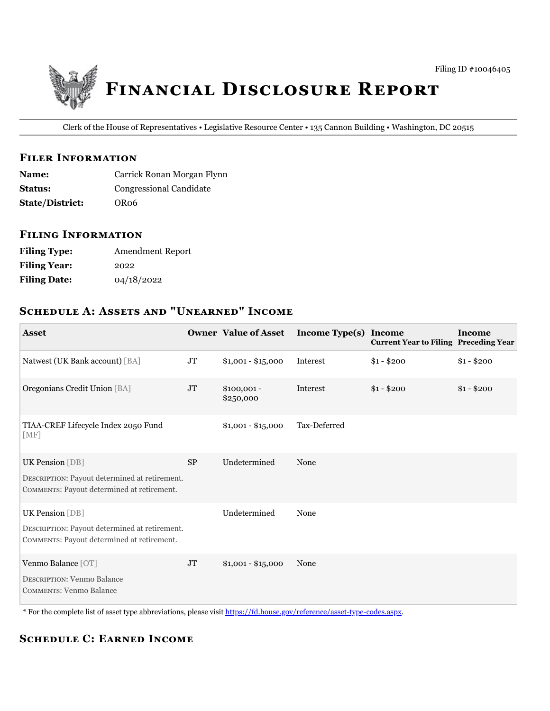

Clerk of the House of Representatives • Legislative Resource Center • 135 Cannon Building • Washington, DC 20515

#### **FILER INFORMATION**

| <b>Name:</b>           | Carrick Ronan Morgan Flynn |
|------------------------|----------------------------|
| <b>Status:</b>         | Congressional Candidate    |
| <b>State/District:</b> | OR <sub>06</sub>           |

## **FILING INFORMATION**

| <b>Filing Type:</b> | <b>Amendment Report</b> |
|---------------------|-------------------------|
| <b>Filing Year:</b> | 2022                    |
| <b>Filing Date:</b> | 04/18/2022              |

# **SCHEDULE A: ASSETS AND "UNEARNED" INCOME**

| <b>Asset</b>                                                                                |           | <b>Owner Value of Asset</b> | Income Type(s) Income | <b>Current Year to Filing Preceding Year</b> | <b>Income</b> |
|---------------------------------------------------------------------------------------------|-----------|-----------------------------|-----------------------|----------------------------------------------|---------------|
| Natwest (UK Bank account) [BA]                                                              | JT        | $$1,001 - $15,000$          | Interest              | $$1 - $200$                                  | $$1 - $200$   |
| Oregonians Credit Union [BA]                                                                | <b>JT</b> | $$100,001 -$<br>\$250,000   | Interest              | $$1 - $200$                                  | $$1 - $200$   |
| TIAA-CREF Lifecycle Index 2050 Fund<br>[MF]                                                 |           | $$1,001 - $15,000$          | Tax-Deferred          |                                              |               |
| <b>UK Pension</b> [DB]                                                                      | <b>SP</b> | Undetermined                | None                  |                                              |               |
| DESCRIPTION: Payout determined at retirement.<br>COMMENTS: Payout determined at retirement. |           |                             |                       |                                              |               |
| <b>UK Pension</b> [DB]                                                                      |           | Undetermined                | None                  |                                              |               |
| DESCRIPTION: Payout determined at retirement.<br>COMMENTS: Payout determined at retirement. |           |                             |                       |                                              |               |
| Venmo Balance [OT]<br><b>DESCRIPTION: Venmo Balance</b><br>COMMENTS: Venmo Balance          | <b>JT</b> | $$1,001 - $15,000$          | None                  |                                              |               |

\* For the complete list of asset type abbreviations, please visit https://fd.house.gov/reference/asset-type-codes.aspx.

# **SCHEDULE C: EARNED INCOME**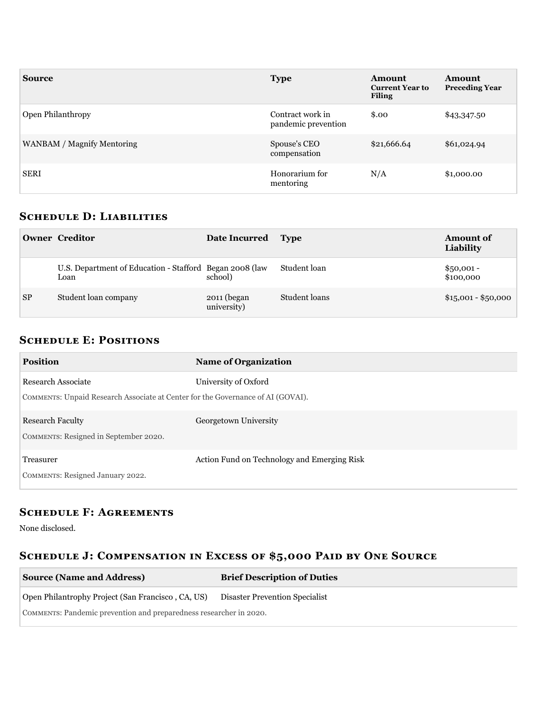| <b>Source</b>              | <b>Type</b>                             | Amount<br><b>Current Year to</b><br><b>Filing</b> | <b>Amount</b><br><b>Preceding Year</b> |
|----------------------------|-----------------------------------------|---------------------------------------------------|----------------------------------------|
| Open Philanthropy          | Contract work in<br>pandemic prevention | \$.00                                             | \$43,347.50                            |
| WANBAM / Magnify Mentoring | Spouse's CEO<br>compensation            | \$21,666.64                                       | \$61,024.94                            |
| <b>SERI</b>                | Honorarium for<br>mentoring             | N/A                                               | \$1,000.00                             |

### **SCHEDULE D: LIABILITIES**

|           | <b>Owner Creditor</b>                                            | Date Incurred Type         |               | <b>Amount of</b><br>Liability |
|-----------|------------------------------------------------------------------|----------------------------|---------------|-------------------------------|
|           | U.S. Department of Education - Stafford Began 2008 (law)<br>Loan | school)                    | Student loan  | $$50,001 -$<br>\$100,000      |
| <b>SP</b> | Student loan company                                             | 2011 (began<br>university) | Student loans | $$15,001 - $50,000$           |

# **SCHEDULE E: POSITIONS**

| <b>Position</b>                                                                 | <b>Name of Organization</b>                 |
|---------------------------------------------------------------------------------|---------------------------------------------|
| Research Associate                                                              | University of Oxford                        |
| COMMENTS: Unpaid Research Associate at Center for the Governance of AI (GOVAI). |                                             |
| <b>Research Faculty</b>                                                         | Georgetown University                       |
| COMMENTS: Resigned in September 2020.                                           |                                             |
| Treasurer                                                                       | Action Fund on Technology and Emerging Risk |
| COMMENTS: Resigned January 2022.                                                |                                             |

# **SCHEDULE F: AGREEMENTS**

None disclosed.

# SCHEDULE J: COMPENSATION IN EXCESS OF \$5,000 PAID BY ONE SOURCE

| <b>Source (Name and Address)</b>                                   | <b>Brief Description of Duties</b> |  |
|--------------------------------------------------------------------|------------------------------------|--|
| Open Philantrophy Project (San Francisco, CA, US)                  | Disaster Prevention Specialist     |  |
| COMMENTS: Pandemic prevention and preparedness researcher in 2020. |                                    |  |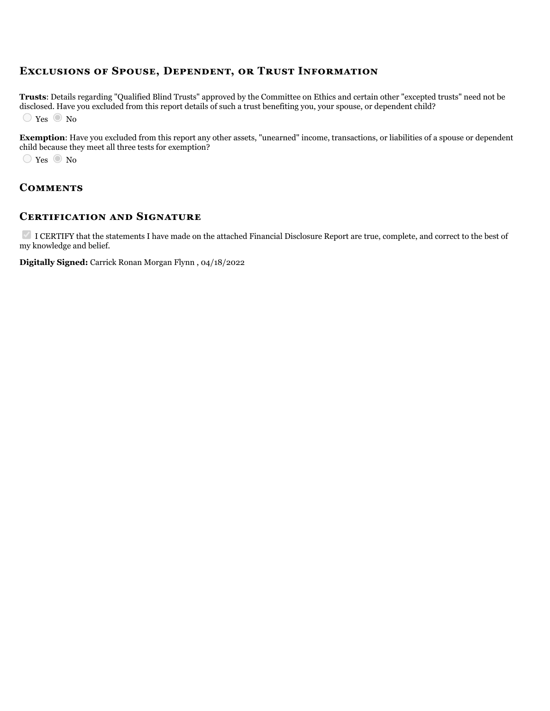## **EXCLUSIONS OF SPOUSE, DEPENDENT, OR TRUST INFORMATION**

**Trusts**: Details regarding "Qualified Blind Trusts" approved by the Committee on Ethics and certain other "excepted trusts" need not be disclosed. Have you excluded from this report details of such a trust benefiting you, your spouse, or dependent child?  $\bigcirc$  Yes  $\bigcirc$  No

**Exemption**: Have you excluded from this report any other assets, "unearned" income, transactions, or liabilities of a spouse or dependent child because they meet all three tests for exemption?

 $\bigcirc$  Yes  $\bigcirc$  No

#### **COMMENTS**

#### **CERTIFICATION AND SIGNATURE**

I CERTIFY that the statements I have made on the attached Financial Disclosure Report are true, complete, and correct to the best of my knowledge and belief.

**Digitally Signed:** Carrick Ronan Morgan Flynn , 04/18/2022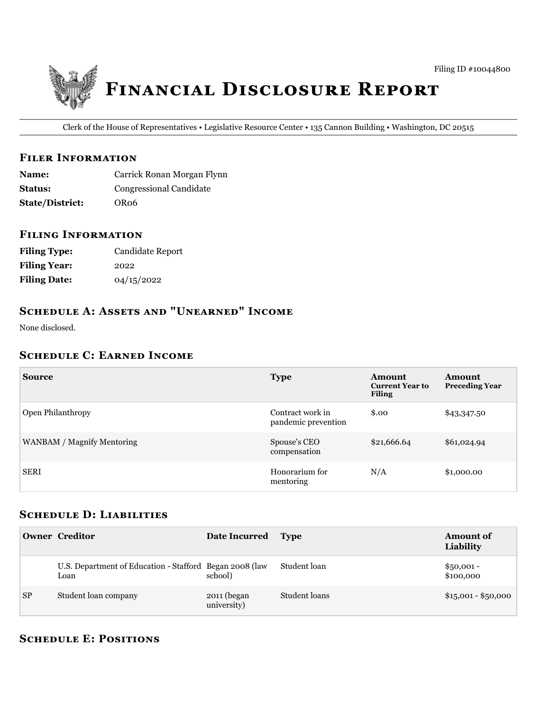

Clerk of the House of Representatives • Legislative Resource Center • 135 Cannon Building • Washington, DC 20515

#### **FILER INFORMATION**

| <b>Name:</b>           | Carrick Ronan Morgan Flynn     |
|------------------------|--------------------------------|
| <b>Status:</b>         | <b>Congressional Candidate</b> |
| <b>State/District:</b> | OR <sub>06</sub>               |

#### **FILING INFORMATION**

| <b>Filing Type:</b> | Candidate Report |
|---------------------|------------------|
| <b>Filing Year:</b> | 2022             |
| <b>Filing Date:</b> | 04/15/2022       |

# SCHEDULE A: ASSETS AND "UNEARNED" INCOME

None disclosed.

#### **SCHEDULE C: EARNED INCOME**

| <b>Source</b>              | <b>Type</b>                             | Amount<br><b>Current Year to</b><br><b>Filing</b> | Amount<br><b>Preceding Year</b> |
|----------------------------|-----------------------------------------|---------------------------------------------------|---------------------------------|
| Open Philanthropy          | Contract work in<br>pandemic prevention | \$.00                                             | \$43,347.50                     |
| WANBAM / Magnify Mentoring | Spouse's CEO<br>compensation            | \$21,666.64                                       | \$61,024.94                     |
| <b>SERI</b>                | Honorarium for<br>mentoring             | N/A                                               | \$1,000.00                      |

#### **SCHEDULE D: LIABILITIES**

|           | <b>Owner Creditor</b>                                           | Date Incurred Type         |               | <b>Amount of</b><br>Liability |
|-----------|-----------------------------------------------------------------|----------------------------|---------------|-------------------------------|
|           | U.S. Department of Education - Stafford Began 2008 (law<br>Loan | school)                    | Student loan  | $$50,001 -$<br>\$100,000      |
| <b>SP</b> | Student loan company                                            | 2011 (began<br>university) | Student loans | $$15,001 - $50,000$           |

## **SCHEDULE E: POSITIONS**